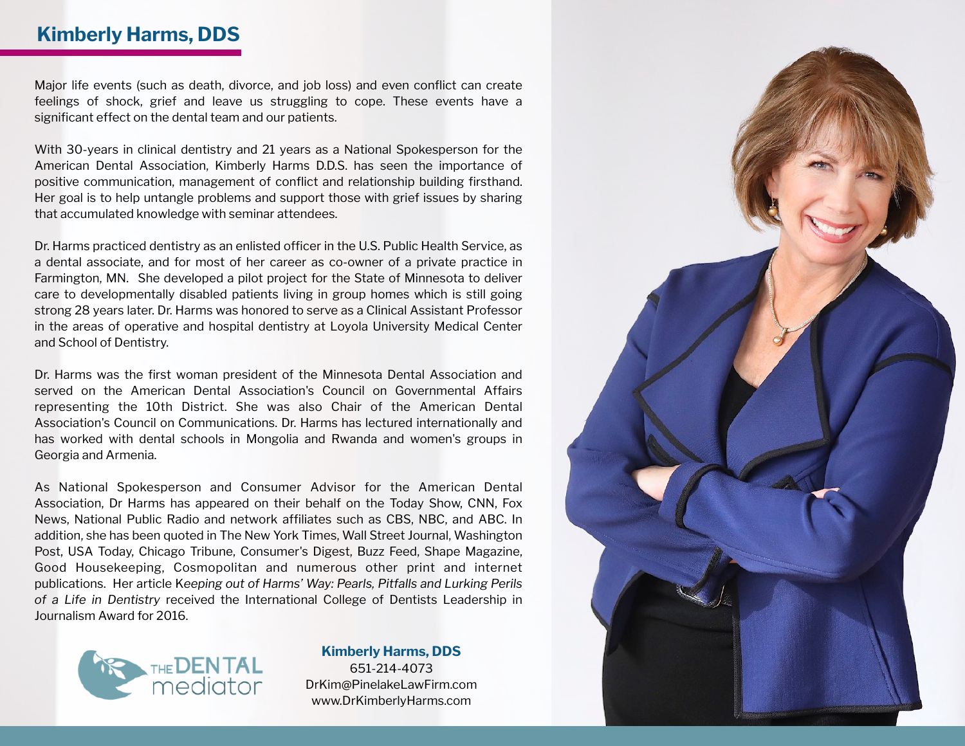## **Kimberly Harms, DDS**

Major life events (such as death, divorce, and job loss) and even conflict can create feelings of shock, grief and leave us struggling to cope. These events have a significant effect on the dental team and our patients.

With 30-years in clinical dentistry and 21 years as a National Spokesperson for the American Dental Association, Kimberly Harms D.D.S. has seen the importance of positive communication, management of conflict and relationship building firsthand. Her goal is to help untangle problems and support those with grief issues by sharing that accumulated knowledge with seminar attendees.

Dr. Harms practiced dentistry as an enlisted officer in the U.S. Public Health Service, as a dental associate, and for most of her career as co-owner of a private practice in Farmington, MN. She developed a pilot project for the State of Minnesota to deliver care to developmentally disabled patients living in group homes which is still going strong 28 years later. Dr. Harms was honored to serve as a Clinical Assistant Professor in the areas of operative and hospital dentistry at Loyola University Medical Center and School of Dentistry.

Dr. Harms was the first woman president of the Minnesota Dental Association and served on the American Dental Association's Council on Governmental Affairs representing the 10th District. She was also Chair of the American Dental Association's Council on Communications. Dr. Harms has lectured internationally and has worked with dental schools in Mongolia and Rwanda and women's groups in Georgia and Armenia.

As National Spokesperson and Consumer Advisor for the American Dental Association, Dr Harms has appeared on their behalf on the Today Show, CNN, Fox News, National Public Radio and network affiliates such as CBS, NBC, and ABC. In addition, she has been quoted in The New York Times, Wall Street Journal, Washington Post, USA Today, Chicago Tribune, Consumer's Digest, Buzz Feed, Shape Magazine, Good Housekeeping, Cosmopolitan and numerous other print and internet publications. Her article K*eeping out of Harms' Way: Pearls, Pitfalls and Lurking Perils of a Life in Dentistry* received the International College of Dentists Leadership in Journalism Award for 2016.



**Kimberly Harms, DDS**  651-214-4073 [DrKim@PinelakeLawFirm.com](mailto:DrKim@PinelakeLawFirm.com)  [www.DrKimberlyHarms.com](https://www.drkimberlyharms.com/)